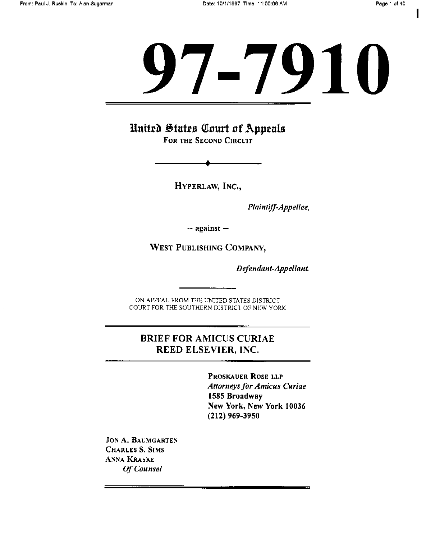I

# -7910

United States Court of Appeals FOR THE SECOND CIRCUIT

HYPERLAW, INC.,

Plaintiff-Appellee,

 $-$  against  $-$ 

WEST PUBLISHING COMPANY,

Defendant-Appellant

ON APPEAL FROM THE UNITED STATES DISTRICT COURT FOR THE SOUTHERN DISTRICT OF NEW YORK

#### BRIEF FOR AMICUS CURIAE REED ELSEVIER, INC.

PROSKAUER ROSE LLP Attorneys for Amicus Curiae 1585 Broadway New York, New York 10036 (212) 969-3950

JON A. BAUMGARTEN CHARLES S. SIMS ANNA KRASKE Of Counsel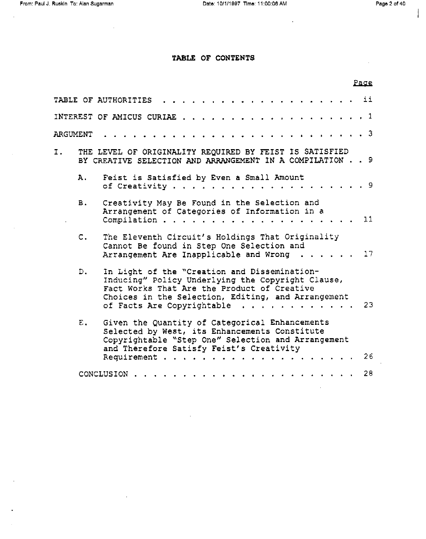$\sim$ 

 $\ddot{\phantom{a}}$ 

÷

÷.

 $\overline{a}$ 

 $\overline{\phantom{a}}$ 

#### TABLE OF CONTENTS

|          |                |                                                                                                                                                                                                                                                  | Page |
|----------|----------------|--------------------------------------------------------------------------------------------------------------------------------------------------------------------------------------------------------------------------------------------------|------|
|          |                | للأقار والمراوية والمراوية والمراوية والمراوية والمراوية والمراوية<br>TABLE OF AUTHORITIES                                                                                                                                                       |      |
|          |                |                                                                                                                                                                                                                                                  |      |
| ARGUMENT |                |                                                                                                                                                                                                                                                  |      |
| I.       |                | THE LEVEL OF ORIGINALITY REQUIRED BY FEIST IS SATISFIED<br>BY CREATIVE SELECTION AND ARRANGEMENT IN A COMPILATION 9                                                                                                                              |      |
|          | Α.             | Feist is Satisfied by Even a Small Amount                                                                                                                                                                                                        |      |
|          | <b>B.</b>      | Creativity May Be Found in the Selection and<br>Arrangement of Categories of Information in a                                                                                                                                                    |      |
|          | $\mathsf{C}$ . | The Eleventh Circuit's Holdings That Originality<br>Cannot Be found in Step One Selection and<br>Arrangement Are Inapplicable and Wrong $\ldots$ 17                                                                                              |      |
|          | $D_{\bullet}$  | In Light of the "Creation and Dissemination-<br>Inducing" Policy Underlying the Copyright Clause,<br>Fact Works That Are the Product of Creative<br>Choices in the Selection, Editing, and Arrangement<br>of Facts Are Copyrightable $\ldots$ 23 |      |
|          | E.,            | Given the Quantity of Categorical Enhancements<br>Selected by West, its Enhancements Constitute<br>Copyrightable "Step One" Selection and Arrangement<br>and Therefore Satisfy Feist's Creativity                                                |      |
|          |                |                                                                                                                                                                                                                                                  | 26   |
|          |                | CONCLUSION                                                                                                                                                                                                                                       | 28   |

 $\cdot$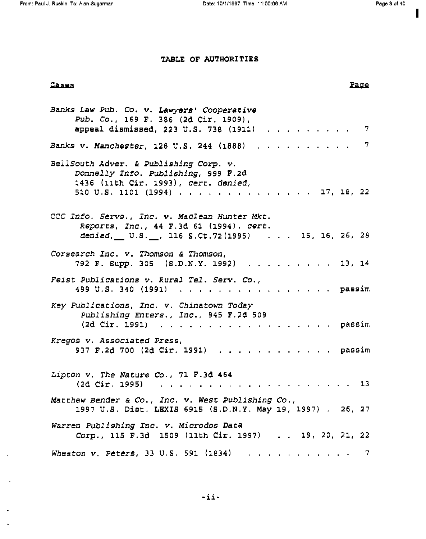I

#### TABLE OF AUTHORITIES

#### **Cases Page 2018**

r

 $\bar{\Delta}$ 

 $\bar{t}$ 

 $\mathbb{R}^{\frac{1}{p}}$ 

| Banks Law Pub. Co. v. Lawyers' Cooperative<br>Pub. Co., 169 F. 386 (2d Cir. 1909),<br>appeal dismissed, 223 U.S. 738 (1911) 7                            |
|----------------------------------------------------------------------------------------------------------------------------------------------------------|
| Banks v. Manchester, 128 U.S. 244 (1888) 7                                                                                                               |
| BellSouth Adver. & Publishing Corp. v.<br>Donnelly Info. Publishing, 999 F.2d<br>1436 (11th Cir. 1993), cert. denied,<br>510 U.S. 1101 (1994) 17, 18, 22 |
| CCC Info. Servs., Inc. v. Maclean Hunter Mkt.<br>Reports, Inc., 44 F.3d 61 (1994), cert.<br>$denied,$ U.S. $\ldots$ , 116 S.Ct.72(1995) 15, 16, 26, 28   |
| Corsearch Inc. v. Thomson & Thomson,<br>792 F. Supp. 305 (S.D.N.Y. 1992) 13, 14                                                                          |
| Feist Publications v. Rural Tel. Serv. Co.,<br>499 U.S. 340 (1991) passim                                                                                |
| Key Publications, Inc. v. Chinatown Today<br>Publishing Enters., Inc., 945 F.2d 509<br>(2d Cir. 1991) passim                                             |
| Kregos v. Associated Press,<br>937 F.2d 700 (2d Cir. 1991) passim                                                                                        |
| Lipton v. The Nature Co., 71 F.3d 464                                                                                                                    |
| Matthew Bender & Co., Inc. v. West Publishing Co.,<br>1997 U.S. Dist. LEXIS 6915 (S.D.N.Y. May 19, 1997) . 26, 27                                        |
| Warren Publishing Inc. v. Microdos Data<br>Corp., 115 F.3d 1509 (11th Cir. 1997) 19, 20, 21, 22                                                          |
| Wheaton v. Peters, 33 U.S. 591 (1834) $\ldots$ 7                                                                                                         |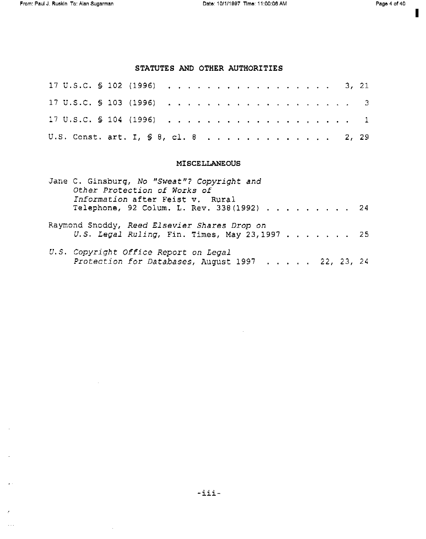$\sim 10^{-1}$ 

 $\sim 10^6$ 

 $\mathcal{A}^{\mathcal{A}}$ 

 $\ddot{\phantom{a}}$ 

 $\mathbf{z}$  .

 $\epsilon$  $\langle \ldots \rangle$  1

#### STATUTES AND OTHER AUTHORITIES

| 17 U.S.C. S 102 (1996) 3, 21         |  |  |  |  |  |  |  |  |  |  |  |  |  |
|--------------------------------------|--|--|--|--|--|--|--|--|--|--|--|--|--|
|                                      |  |  |  |  |  |  |  |  |  |  |  |  |  |
|                                      |  |  |  |  |  |  |  |  |  |  |  |  |  |
| U.S. Const. art. I, § 8, cl. 8 2, 29 |  |  |  |  |  |  |  |  |  |  |  |  |  |

#### MISCELLANEOUS

| Jane C. Ginsburg, No "Sweat"? Copyright and<br>Other Protection of Works of<br>Information after Feist v. Rural<br>Telephone, 92 Colum. L. Rev. 338(1992) 24 |  |
|--------------------------------------------------------------------------------------------------------------------------------------------------------------|--|
| Raymond Snoddy, Reed Elsevier Shares Drop on<br>U.S. Legal Ruling, Fin. Times, May 23, 1997 25                                                               |  |
| U.S. Copyright Office Report on Legal<br>Protection for Databases, August 1997 22, 23, 24                                                                    |  |

 $\hat{\mathcal{A}}$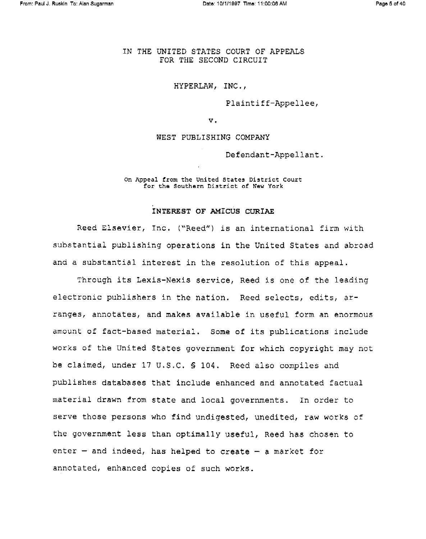IN THE UNITED STATES COURT OF APPEALS FOR THE SECOND CIRCUIT

HYPERLAW, INC.,

Plaintiff-Appellee,

V.

WEST PUBLISHING COMPANY

Defendant-Appellant,

on Appeal from the United States District Court for the Southern District of New York

#### INTEREST OF AMICUS CURIAE

Reed Elsevier, Inc. ("Reed") is an international firm with substantial publishing operations in the United States and abroad and a substantial interest in the resolution of this appeal.

Through its Lexis-Nexis service, Reed is one of the leading electronic publishers in the nation. Reed selects, edits, arranges, annotates, and makes available in useful form an enormous amount of fact-based material. Some of its publications include works of the United States government for which copyright may not be claimed, under 17 U.S.C. § 104. Reed also compiles and publishes databases that include enhanced and annotated factual material drawn from state and local governments. in order to serve those persons who find undigested, unedited, raw works of the government less than optimally useful, Reed has chosen to enter  $-$  and indeed, has helped to create  $-$  a market for annotated, enhanced copies of such works.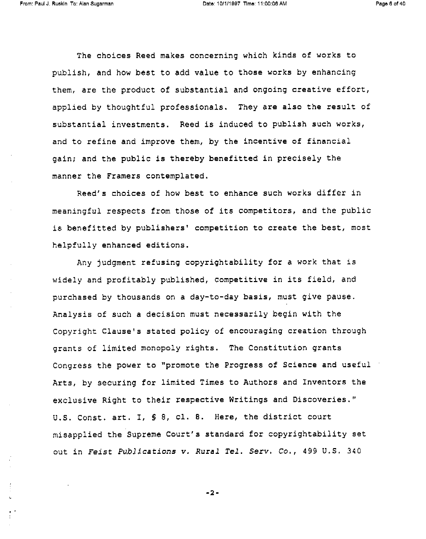The choices Reed makes concerning which kinds of works to publish, and how best to add value to those works by enhancing them, are the product of substantial and ongoing creative effort, applied by thoughtful professionals. They are also the result of substantial investments. Reed is induced to publish such works, and to refine and improve them, by the incentive of financial gain; and the public is thereby benefitted in precisely the manner the Framers contemplated.

Reed's choices of how best to enhance such works differ in meaningful respects from those of its competitors, and the public is benefitted by publishers' competition to create the best, most helpfully enhanced editions.

Any judgment refusing copyrightability for a work that is widely and profitably published, competitive in its field, and purchased by thousands on a day-to-day basis, must give pause. Analysis of such a decision must necessarily begin with the Copyright Clause's stated policy of encouraging creation through grants of limited monopoly rights. The Constitution grants Congress the power to "promote the Progress of Science and useful Arts, by securing for limited Times to Authors and Inventors the exclusive Right to their respective Writings and Discoveries." U.S. Const. art. I, § 8, cl. B. Here, the district court misapplied the Supreme Court's standard for copyrightability set out in Feist Publications v. Rural Tel. Serv. Co., 499 U.S. 340

-2-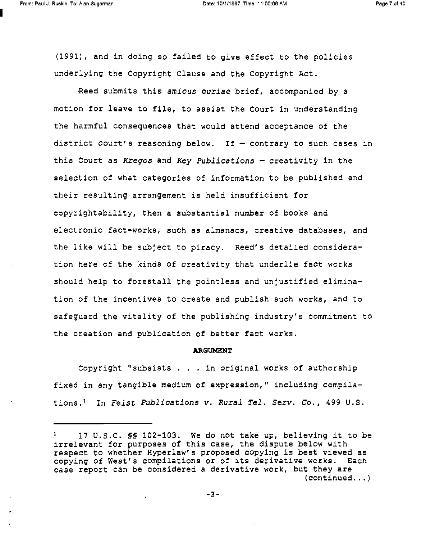(1991), and in doing so failed to give effect to the policies underlying the Copyright Clause and the Copyright Act.

Reed submits this amicus curiae brief, accompanied by a motion for leave to file, to assist the Court in understanding the harmful consequences that would attend acceptance of the district court's reasoning below. If  $-$  contrary to such cases in this Court as Kregos and Key Publications  $-$  creativity in the selection of what categories of information to be published and their resulting arrangement is held insufficient for copyrightability, then a substantial number of books and electronic fact-works, such as almanacs, creative databases, and the like will be subject to piracy. Reed's detailed consideration here of the kinds of creativity that underlie fact works should help to forestall the pointless and unjustified elimination of the incentives to create and publish such works, and to safeguard the vitality of the publishing industry's commitment to the creation and publication of better fact works.

#### **ARGUMENT**

Copyright "subsists . . . in original works of authorship fixed in any tangible medium of expression," including compilations.' In Feist Publications v. Rural Tel. Serv. Co., 499 U.S.

<sup>1</sup> 17 U.S.C. §S 102-103. We do not take up, believing it to be irrelevant for purposes of this case, the dispute below with respect to whether Hyperlaw's proposed copying is best viewed as copying of West's compilations or of its derivative works. Each case report can be considered a derivative work, but they are (continued...)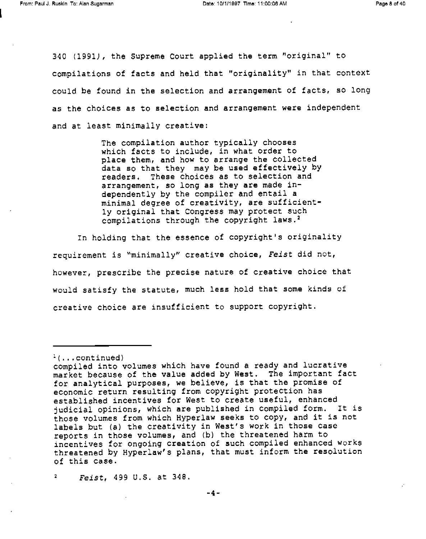340 (1991), the Supreme Court applied the term "original" to compilations of facts and held that "originality" in that context could be found in the selection and arrangement of facts, so long as the choices as to selection and arrangement were independent and at least minimally creative:

> The compilation author typically chooses which facts to include, in what order to place them, and how to arrange the collected data so that they may be used effectively by readers. These choices as to selection and arrangement, so long as they are made independently by the compiler and entail a minimal degree of creativity, are sufficiently original that Congress may protect such compilations through the copyright laws.'

In holding that the essence of copyright's originality requirement is "minimally" creative choice, Feist did not, however, prescribe the precise nature of creative choice that would satisfy the statute, much less hold that some kinds of creative choice are insufficient to support copyright.

<sup>2</sup> Feist, 499 U.S. at 348.

 $(1)$ ...continued)

compiled into volumes which have found a ready and lucrative market because of the value added by West. The important fact for analytical purposes, we believe, is that the promise of economic return resulting from copyright protection has established incentives for West to create useful, enhanced judicial opinions, which are published in compiled form. It is those volumes from which Hyperlaw seeks to copy, and it is not labels but (a) the creativity in West's work in those case reports in those volumes, and (b) the threatened harm to incentives for ongoing creation of such compiled enhanced works threatened by Hyperlaw's plans, that must inform the resolution of this case.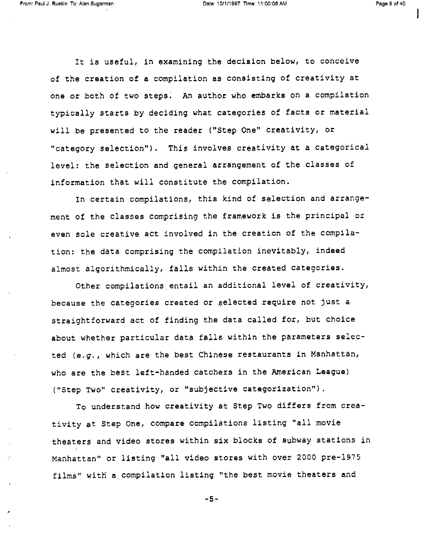It is useful, in examining the decision below, to conceive of the creation of a compilation as consisting of creativity at one or both of two steps. An author who embarks on a compilation typically starts by deciding what categories of facts or material will be presented to the reader ("Step One" creativity, or "category selection"). This involves creativity at a categorical level: the selection and general arrangement of the classes of information that will constitute the compilation.

In certain compilations, this kind of selection and arrangement of the classes comprising the framework is the principal or even sole creative act involved in the creation of the compilation: the data comprising the compilation inevitably, indeed almost algorithmically, falls within the created categories.

Other compilations entail an additional level of creativity, because the categories created or selected require not just a straightforward act of finding the data called for, but choice about whether particular data falls within the parameters selected (e.g., which are the best Chinese restaurants in Manhattan, who are the best left-handed catchers in the American League) ("Step Two" creativity, or "subjective categorization").

To understand how creativity at Step Two differs from creativity at Step One, compare compilations listing "all movie theaters and video stores within six blocks of subway stations in Manhattan" or listing "all video stores with over 2000 pre-1975 films" with a compilation listing "the best movie theaters and

-5-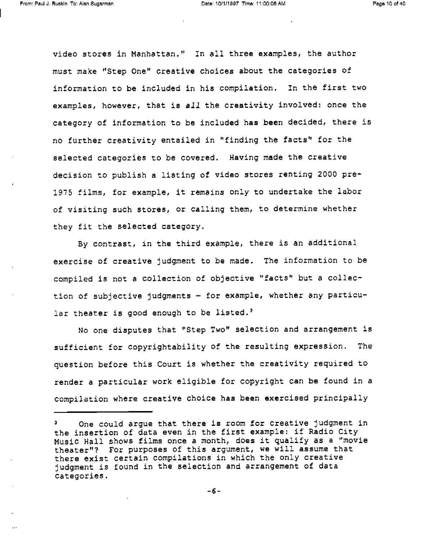video stores in Manhattan." In all three examples, the author must make "Step One" creative choices about the categories of information to be included in his compilation. In the first two examples, however, that is all the creativity involved: once the category of information to be included has been decided, there is no further creativity entailed in "finding the facts" for the selected categories to be covered. Having made the creative decision to publish a listing of video stores renting 2000 pre-1975 films, for example, it remains only to undertake the labor of visiting such stores, or calling them, to determine whether they fit the selected category.

By contrast, in the third example, there is an additional exercise of creative judgment to be made. The information to be compiled is not a collection of objective "facts" but a collection of subjective judgments  $-$  for example, whether any particular theater is good enough to be listed.<sup>3</sup>

No one disputes that "Step Two" selection and arrangement is sufficient for copyrightability of the resulting expression. The question before this Court is whether the creativity required to render a particular work eligible for copyright can be found in a compilation where creative choice has been exercised principally

One could argue that there is room for creative judgment in the insertion of data even in the first example: if Radio City Music Hall shows films once a month, does it qualify as a "movie theater"? For purposes of this argument, we will assume that there exist certain compilations in which the only creative judgment is found in the selection and arrangement of data categories.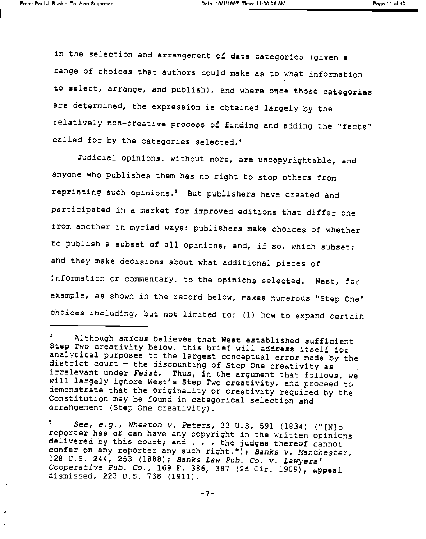in the selection and arrangement of data categories (given a range of choices that authors could make as to what information to select, arrange, and publish), and where once those categories are determined, the expression is obtained largely by the relatively non-creative process of finding and adding the "facts" called for by the categories selected.'

Judicial opinions, without more, are uncopyrightable, and anyone who publishes them has no right to stop others from reprinting such opinions.' But publishers have created and participated in a market for improved editions that differ one from another in myriad ways: publishers make choices of whether to publish a subset of all opinions, and, if so, which subset; and they make decisions about what additional pieces of information or commentary, to the opinions selected. West, for example, as shown in the record below, makes numerous "Step One" choices including, but not limited to: (1) how to expand certain

5. <sup>5</sup> See, e.g., Wheaton v. Peters, 33 U.S. 591 (1834) ("[N]o<br>reporter has or can have any copyright in the written opinions delivered by this court; and . . . the judges thereof cannot confer on any reporter any such right."); Banks v. Manchester,<br>128 U.S. 244, 253 (1888); Banks Law Pub. Co. v. Lawyers' Cooperative Pub. Co., 169 F. 386, 387 (2d Cir. 1909), appeal dismissed, 223 U.S. 738 (1911).

<sup>°</sup> Although amicus believes that West established sufficient analytical purposes to the largest conceptual error made by the district court - the discounting of Step One creativity as irrelevant under Feist. Thus, in the argument that follows, we<br>will largely ignore West's Step Two creativity, and proceed to demonstrate that the originality or creativity required by the Constitution may be found in categorical selection and arrangement (Step One creativity).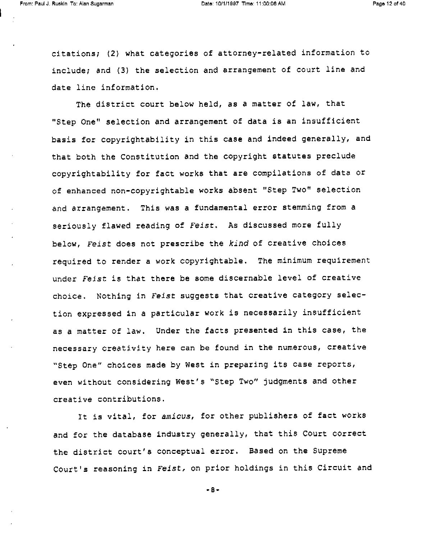citations; (2) what categories of attorney-related information to include; and (3) the selection and arrangement of court line and date line information.

The district court below held, as a matter of law, that "Step One" selection and arrangement of data is an insufficient basis for copyrightability in this case and indeed generally, and that both the Constitution and the copyright statutes preclude copyrightability for fact works that are compilations of data or of enhanced non-copyrightable works absent "Step Two" selection and arrangement. This was a fundamental error stemming from a seriously flawed reading of Feist. As discussed more fully below, Feist does not prescribe the kind of creative choices required to render a work copyrightable. The minimum requirement under Feist is that there be some discernable level of creative choice. Nothing in Feist suggests that creative category selection expressed in a particular work is necessarily insufficient as a matter of law. Under the facts presented in this case, the necessary creativity here can be found in the numerous, creative "Step One" choices made by West in preparing its case reports, even without considering West's "Step Two" judgments and other creative contributions.

It is vital, for amicus, for other publishers of fact works and for the database industry generally, that this Court correct the district court's conceptual error. Based on the Supreme Court's reasoning in Feist, on prior holdings in this Circuit and

-8-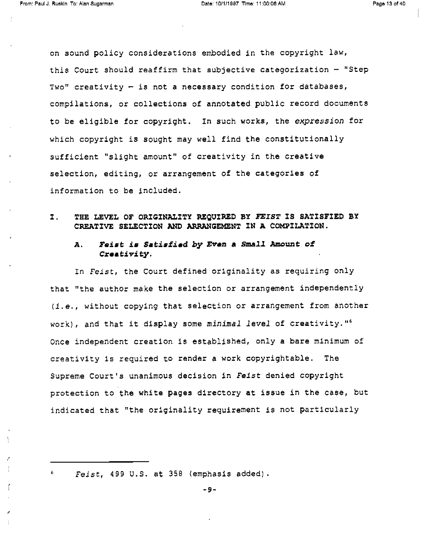on sound policy considerations embodied in the copyright law, this Court should reaffirm that subjective categorization - "Step Two" creativity  $-$  is not a necessary condition for databases, compilations, or collections of annotated public record documents to be eligible for copyright. In such works, the expression for which copyright is sought may well find the constitutionally sufficient "slight amount" of creativity in the creative selection, editing, or arrangement of the categories of information to be included.

I. THE LEVEL OF ORIGINALITY REQUIRED BY FEIST IS SATISFIED BY CREATIVE SELECTION AND ARRANGEMENT IN A COMPILATION.

#### A. Feist is Satisfied by Even a Small Amount of Creativity.

In Feist, the Court defined originality as requiring only that "the author make the selection or arrangement independently (i.e., without copying that selection or arrangement from another work), and that it display some minimal level of creativity."<sup>6</sup> Once independent creation is established, only a bare minimum of creativity is required to render a work copyrightable. The Supreme Court's unanimous decision in Feist denied copyright protection to the white pages directory at issue in the case, but indicated that "the originality requirement is not particularly

<sup>6</sup> Feist, 499 U.S. at 358 (emphasis added).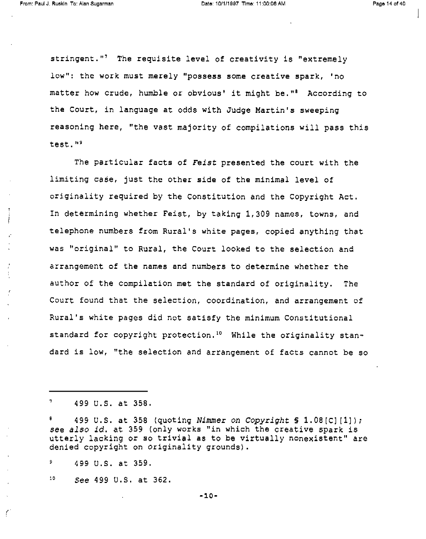stringent."' The requisite level of creativity is "extremely low": the work must merely "possess some creative spark, 'no matter how crude, humble or obvious' it might be."' According to the Court, in language at odds with Judge Martin's sweeping reasoning here, "the vast majority of compilations will pass this test."'

The particular facts of Feist presented the court with the limiting case, just the other side of the minimal level of originality required by the Constitution and the Copyright Act. In determining whether Feist, by taking 1,309 names, towns, and telephone numbers from Rural's white pages, copied anything that was "original" to Rural, the Court looked to the selection and arrangement of the names and numbers to determine whether the author of the compilation met the standard of originality. The Court found that the selection, coordination, and arrangement of Rural's white pages did not satisfy the minimum Constitutional standard for copyright protection.<sup>10</sup> While the originality standard is low, "the selection and arrangement of facts cannot be so

 $^7$  499 U.S. at 358.

499 U.S. at 358 (quoting Nimmer on Copyright  $S$  1.08[C][1]); see also id. at 359 (only works "in which the creative spark is<br>utterly lacking or so trivial as to be virtually nonexistent" are denied copyright on originality grounds).

 $9$  499 U.S. at 359.

C

 $10$  See 499 U.S. at 362.

-i0-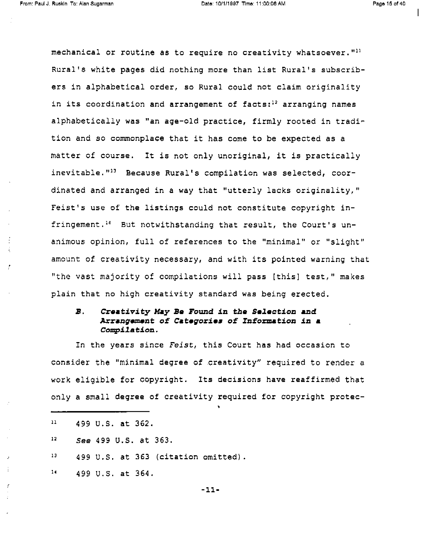mechanical or routine as to require no creativity whatsoever. $"$ " Rural's white pages did nothing more than list Rural's subscribers in alphabetical order, so Rural could not claim originality in its coordination and arrangement of facts:<sup>12</sup> arranging names alphabetically was "an age-old practice, firmly rooted in tradition and so commonplace that it has come to be expected as a matter of course. It is not only unoriginal, it is practically inevitable."<sup>13</sup> Because Rural's compilation was selected, coordinated and arranged in a way that "utterly lacks originality," Feist's use of the listings could not constitute copyright infringement.14 But notwithstanding that result, the Court's unanimous opinion, full of references to the "minimal" or "slight" amount of creativity necessary, and with its pointed warning that "the vast majority of compilations will pass (this] test," makes plain that no high creativity standard was being erected.

## B. Creativity May Be Found in the Selection and Arrangement of Categories of Information in a Compilation.

In the years since Feist, this Court has had occasion to consider the "minimal degree of creativity" required to render a work eligible for copyright. Its decisions have reaffirmed that only a small degree of creativity required for copyright protec-

-11-

<sup>11</sup>12 13 14 499 U.S. at 362. See 499 U.S. at 363. 499 U.S. at 363 (citation omitted). 499 U.S. at 364.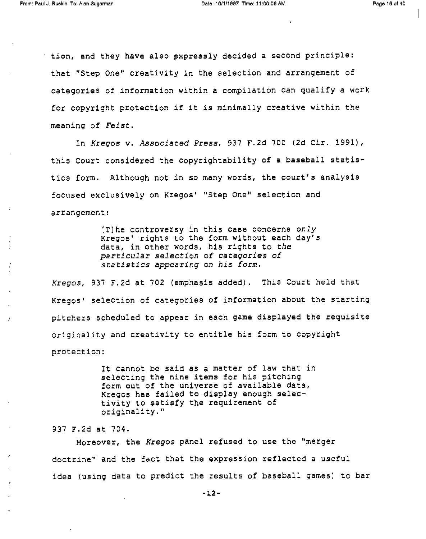tion, and they have also expressly decided a second principle: that "Step One" creativity in the selection and arrangement of categories of information within a compilation can qualify a work for copyright protection if it is minimally creative within the meaning of Feist.

In Kregos v. Associated Press, 937 F.2d 700 (2d Cir. 1991), this Court considered the copyrightability of a baseball statistics form. Although not in so many words, the court's analysis focused exclusively on Kregos' "Step One" selection and arrangement:

> [T]he controversy in this case concerns only Kregos' rights to the form without each day's data, in other words, his rights to the particular selection of categories of statistics appearing on his form.

Kregos, 937 F.2d at 702 (emphasis added). This Court held that Kregos' selection of categories of information about the starting pitchers scheduled to appear in each game displayed the requisite originality and creativity to entitle his form to copyright protection:

> It cannot be said as a matter of law that in selecting the nine items for his pitching form out of the universe of available data, Kregos has failed to display enough selectivity to satisfy the requirement of originality."

937 F.2d at 704.

Moreover, the Kregos panel refused to use the "merger doctrine" and the fact that the expression reflected a useful idea (using data to predict the results of baseball games) to bar

-12-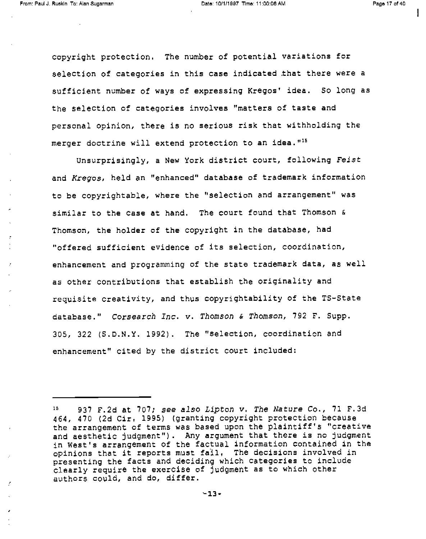copyright protection. The number of potential variations for selection of categories in this case indicated that there were a sufficient number of ways of expressing Kregos' idea. So long as the selection of categories involves "matters of taste and personal opinion, there is no serious risk that withholding the merger doctrine will extend protection to an idea."<sup>15</sup>

Unsurprisingly, a New York district court, following Feist and Kregos, held an "enhanced" database of trademark information to be copyrightable, where the "selection and arrangement" was similar to the case at hand. The court found that Thomson & Thomson, the holder of the copyright in the database, had "offered sufficient evidence of its selection, coordination, enhancement and programming of the state trademark data, as well as other contributions that establish the originality and requisite creativity, and thus copyrightability of the TS-State database." Corsearch Inc. v. Thomson & Thomson, 792 F. Supp. 305, 322 (S.D.N.Y. 1992). The "selection, coordination and enhancement" cited by the district court included:

<sup>15</sup> 937 F.2d at 707; see also Lipton v. The Nature Co., 71 F.3d 464, 470 (2d Cir. 1995) (granting copyright protection because the arrangement of terms was based upon the plaintiff's "creative and aesthetic judgment"). Any argument that there is no judgment in west's arrangement of the factual information contained in the opinions that it reports must fail. The decisions involved in presenting the facts and deciding which categories to include clearly require the exercise of judgment as to which other authors could, and do, differ.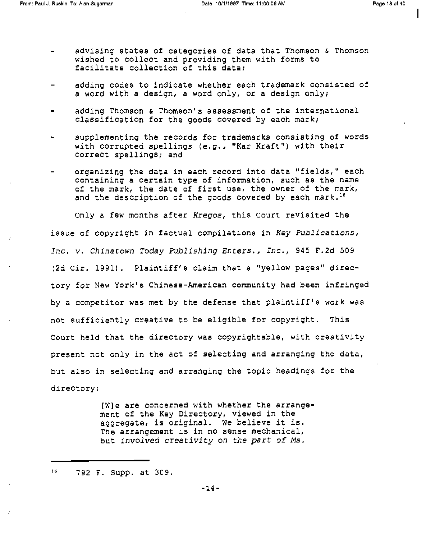- advising states of categories of data that Thomson & Thomson wished to collect and providing them with forms to facilitate collection of this data;
- adding codes to indicate whether each trademark consisted of<br>a word with a design, a word only, or a design only;
- adding Thomson & Thomson's assessment of the international classification for the goods covered by each mark;
- supplementing the records for trademarks consisting of words with corrupted spellings (e.g., "Kar Kraft") with their correct spellings; and
- organizing the data in each record into data "fields," each containing a certain type of information, such as the name of the mark, the date of first use, the owner of the mark, and the description of the goods covered by each mark.<sup>16</sup>

only a few months after Kregos, this Court revisited the issue of copyright in factual compilations in Key Publications, Inc. v. Chinatown Today Publishing Enters., Inc., 945 F.2d 509 (2d Cir. 1991). Plaintiff's claim that a "yellow pages" directory for New York's Chinese-American community had been infringed by a competitor was met by the defense that plaintiff's work was not sufficiently creative to be eligible for copyright. This Court held that the directory was copyrightable, with creativity present not only in the act of selecting and arranging the data, but also in selecting and arranging the topic headings for the directory:

> [W]e are concerned with whether the arrangement of the Key Directory, viewed in the aggregate, is original. We believe it is. The arrangement is in no sense mechanical, but involved creativity on the part of Ms.

<sup>16</sup> 792 F. Supp. at 309.

-14-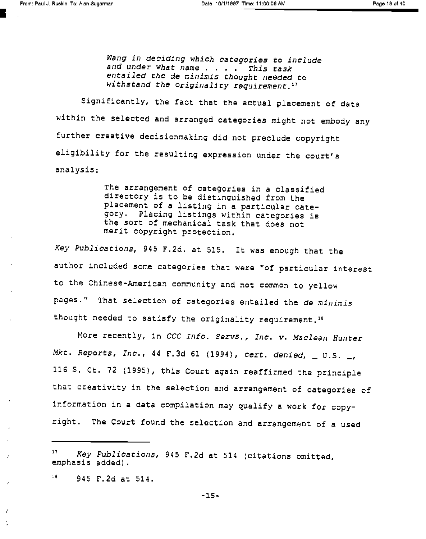Wang in deciding which categories to include<br>and under what name . . . . This task<br>entailed the de minimis thought needed to withstand the originality requirement.<sup>17</sup>

Significantly, the fact that the actual placement of data within the selected and arranged categories might not embody any further creative decisionmaking did not preclude copyright eligibility for the resulting expression under the court's analysis:

> The arrangement of categories in a classified directory is to be distinguished from the placement of a listing in a particular category. Placing listings within categories is the sort of mechanical task that does not merit copyright protection.

Key Publications, 945 F.2d. at 515. It was enough that the author included some categories that were "of particular interest to the Chinese-American community and not common to yellow pages." That selection of categories entailed the de minimis thought needed to satisfy the originality requirement.1e

More recently, in CCC Info. Servs., Inc. v. Maclean Hunter Mkt. Reports, Inc., 44 F.3d 61 (1994), cert. denied,  $\_\,$  U.S.  $\_\,$ 116 S. Ct. 72 (1995), this Court again reaffirmed the principle that creativity in the selection and arrangement of categories of information in a data compilation may qualify a work for copyright. The Court found the selection and arrangement of a used

<sup>&</sup>quot; Key Publications, 945 F.2d at 514 (citations omitted, emphasis added).

 $^{18}$  945 F.2d at 514.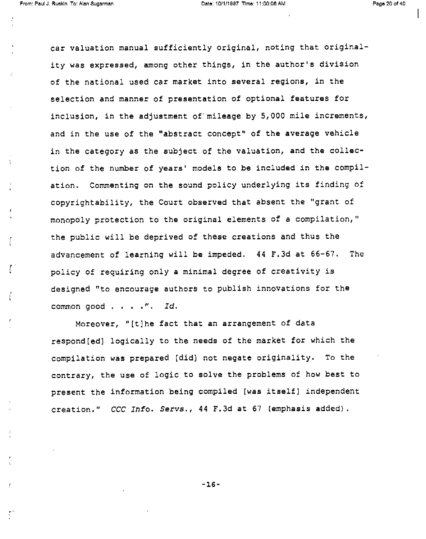Å

f

í

car valuation manual sufficiently original, noting that originality was expressed, among other things, in the author's division of the national used car market into several regions, in the selection and manner of presentation of optional features for inclusion, in the adjustment of mileage by 5,000 mile increments, and in the use of the "abstract concept" of the average vehicle in the category as the subject of the valuation, and the collection of the number of years' models to be included in the compilation. Commenting on the sound policy underlying its finding of copyrightability, the Court observed that absent the "grant of monopoly protection to the original elements of a compilation," the public will be deprived of these creations and thus the advancement of learning will be impeded. 44 F.3d at 66-67. The policy of requiring only a minimal degree of creativity is designed "to encourage authors to publish innovations for the common good . . . . ". Id.

Moreover, "[t]he fact that an arrangement of data respond[ed] logically to the needs of the market for which the compilation was prepared (did) not negate originality. To the contrary, the use of logic to solve the problems of how best to present the information being compiled [was itself] independent creation." CCC Info. Servs., 44 F.3d at 67 (emphasis added).

-16-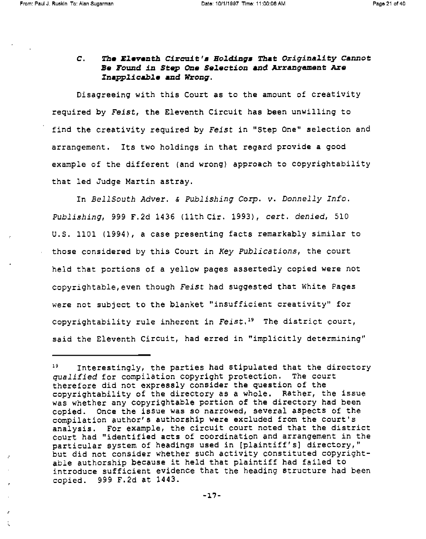#### C. The Eleventh Circuit's Holdings That Originality Cannot Be Found in Stop One Selection and Arrangement Are Inapplicable and Wrong.

Disagreeing with this Court as to the amount of creativity required by Feist, the Eleventh Circuit has been unwilling to find the creativity required by Feist in "Step One" selection and arrangement. Its two holdings in that regard provide a good example of the different (and wrong) approach to copyrightability that led Judge Martin astray.

In BellSouth Adver. & Publishing Corp. v. Donnelly Info. Publishing, 999 F.2d 1436 (11th Cir. 1993), cert. denied, 510 U.S. 1101 (1994), a case presenting facts remarkably similar to those considered by this Court in Key Publications, the court held that portions of a yellow pages assertedly copied were not copyrightable, even though Feist had suggested that White Pages were not subject to the blanket "insufficient creativity" for copyrightability rule inherent in Feist." The district court, said the Eleventh Circuit, had erred in "implicitly determining"

 $19$  Interestingly, the parties had stipulated that the directory qualified for compilation copyright protection. The court therefore did not expressly consider the question of the copyrightability of the directory as a whole. Rather, the issue was whether any copyrightable portion of the directory had been copied. Once the issue was so narrowed, several aspects of the compilation author's authorship were excluded from the court's analysis. For example, the circuit court noted that the district court had "identified acts of coordination and arrangement in the particular system of headings used in [plaintiff's) directory," but did not consider whether such activity constituted copyrightable authorship because it held that plaintiff had failed to introduce sufficient evidence that the heading structure had been copied. 999 F.2d at 1443.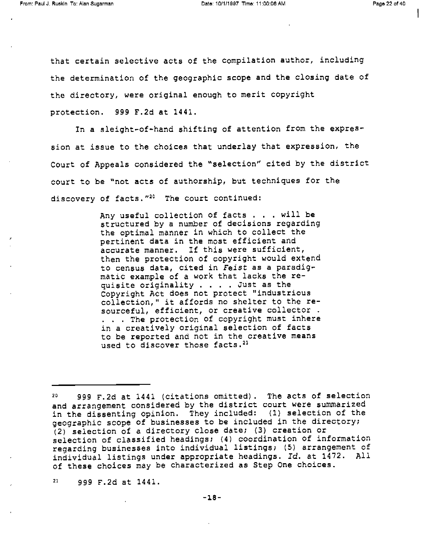that certain selective acts of the compilation author, including the determination of the geographic scope and the closing date of the directory, were original enough to merit copyright protection. 999 F.2d at 1441.

In a sleight-of-hand shifting of attention from the expression at issue to the choices that underlay that expression, the Court of Appeals considered the "selection" cited by the district court to be "not acts of authorship, but techniques for the discovery of facts."<sup>20</sup> The court continued:

> Any useful collection of facts . . . will be structured by a number of decisions regarding the optimal manner in which to collect the pertinent data in the most efficient and accurate manner. If this were sufficient, then the protection of copyright would extend to census data, cited in Feist as a paradigmatic example of a work that lacks the requisite originality . . . . Just as the Copyright Act does not protect "industrious collection," it affords no shelter to the resourceful, efficient, or creative collector . . . The protection of copyright must inhere in a creatively original selection of facts to be reported and not in the creative means used to discover those facts.<sup>21</sup>

<sup>21</sup> 999 F.2d at 1441.

<sup>20</sup> 999 F.2d at 1441 (citations omitted). The acts of selection and arrangement considered by the district court were summarized in the dissenting opinion. They included: (1) selection of the geographic scope of businesses to be included in the directory; (2) selection of a directory close date; (3) creation or selection of classified headings; (4) coordination of information regarding businesses into individual listings; (5) arrangement of individual listings under appropriate headings. Id. at 1472. All of these choices may be characterized as Step One choices.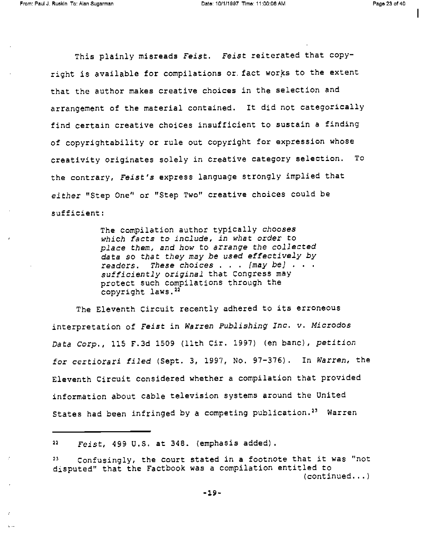$\mathbf{X} \rightarrow \mathbf{X}$ 

1

This plainly misreads Feist. Feist reiterated that copyright is available for compilations or. fact works to the extent that the author makes creative choices in the selection and arrangement of the material contained. It did not categorically find certain creative choices insufficient to sustain a finding of copyrightability or rule out copyright for expression whose creativity originates solely in creative category selection. To the contrary, Feist's express language strongly implied that either "Step One" or "Step Two" creative choices could be sufficient:

> The compilation author typically chooses which facts to include, in what order to place them, and how to arrange the collected data so that they may be used effectively by<br>readers. These choices . . . [may be] . . . sufficiently original that Congress may protect such compilations through the copyright laws.<sup>22</sup>

The Eleventh Circuit recently adhered to its erroneous interpretation of Feist in Warren Publishing Inc. v. Microdos Data Corp., 115 F.3d 1509 (11th Cir. 1997) (en banc), petition for certiorari filed (Sept. 3, 1997, No. 97-376). In Warren, the Eleventh Circuit considered whether a compilation that provided information about cable television systems around the United States had been infringed by a competing publication.<sup>23</sup> Warren

 $22$   $Feist$ , 499 U.S. at 348. (emphasis added).

<sup>27</sup> Confusingly, the court stated in a footnote that it was "not disputed" that the Factbook was a compilation entitled to (continued...)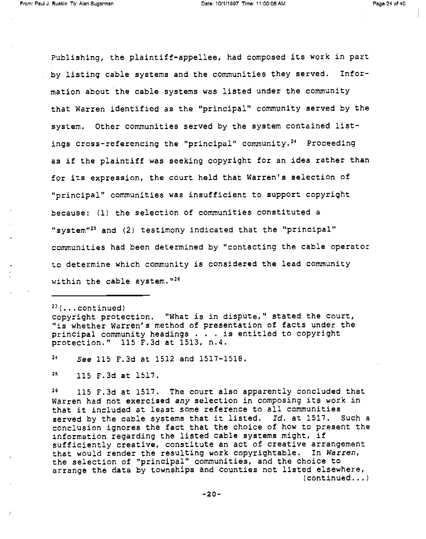Publishing, the plaintiff-appellee, had composed its work in part by listing cable systems and the communities they served. Information about the cable systems was listed under the community that Warren identified as the "principal" community served by the system. Other communities served by the system contained listings cross-referencing the "principal" community.<sup>24</sup> Proceeding as if the plaintiff was seeking copyright for an idea rather than for its expression, the court held that Warren's selection of "principal" communities was insufficient to support copyright because: (1) the selection of communities constituted a "system"<sup>25</sup> and (2) testimony indicated that the "principal" communities had been determined by "contacting the cable operator to determine which community is considered the lead community within the cable system.  $126$ 

 $23$ (... $continued$ )

 $\overline{z}$ 

copyright protection. "What is in dispute," stated the court, "is whether Warren's method of presentation of facts under the principal community headings . . . is entitled to copyright protection." 115 F.3d at 1513, n.4.

<sup>24</sup> See 115 F.3d at 1512 and 1517-1518.

<sup>25</sup> 115 F.3d at 1517.

<sup>26</sup> 115 F.3d at 1517. The court also apparently concluded that Warren had not exercised any selection in composing its work in that it included at least some reference to all communities served by the cable systems that it listed. Id. at 1517. Such a conclusion ignores the fact that the choice of how to present the information regarding the listed cable systems might, if sufficiently creative, constitute an act of creative arrangement that would render the resulting work copyrightable. In Warren, the selection of "principal" communities, and the choice to arrange the data by townships and counties not listed elsewhere, (continued...)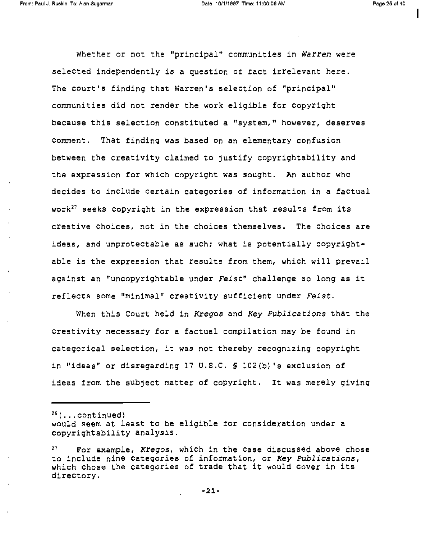I

Whether or not the "principal" communities in Warren were selected independently is a question of fact irrelevant here. The court's finding that Warren's selection of "principal" communities did not render the work eligible for copyright because this selection constituted a "system," however, deserves comment. That finding was based on an elementary confusion between the creativity claimed to justify copyrightability and the expression for which copyright was sought. An author who decides to include certain categories of information in a factual work<sup>27</sup> seeks copyright in the expression that results from its creative choices, not in the choices themselves. The choices are ideas, and unprotectable as such; what is potentially copyrightable is the expression that results from them, which will prevail against an "uncopyrightable under Feist" challenge so long as it reflects some "minimal" creativity sufficient under Feist.

When this Court held in Kregos and Key Publications that the creativity necessary for a factual compilation may be found in categorical selection, it was not thereby recognizing copyright in "ideas" or disregarding 17 U.S.C. § 102(b)'s exclusion of ideas from the subject matter of copyright. It was merely giving

 $26$ (...continued)

would seem at least to be eligible for consideration under a copyrightability analysis.

 $27$  For example, Kregos, which in the case discussed above chose to include nine categories of information, or Key Publications, which chose the categories of trade that it would cover in its directory.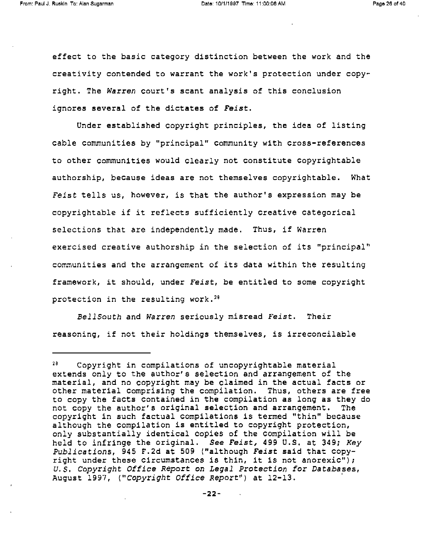effect to the basic category distinction between the work and the creativity contended to warrant the work's protection under copyright. The Warren court's scant analysis of this conclusion ignores several of the dictates of Feist.

Under established copyright principles, the idea of listing cable communities by "principal" community with cross-references to other communities would clearly not constitute copyrightable authorship, because ideas are not themselves copyrightable. What Feist tells us, however, is that the author's expression may be copyrightable if it reflects sufficiently creative categorical selections that are independently made. Thus, if Warren exercised creative authorship in the selection of its "principal" communities and the arrangement of its data within the resulting framework, it should, under Feist, be entitled to some copyright protection in the resulting work.<sup>28</sup>

BellSouth and Warren seriously misread Feist. Their reasoning, if not their holdings themselves, is irreconcilable

<sup>26</sup> Copyright in compilations of uncopyrightable material extends only to the author's selection and arrangement of the material, and no copyright may be claimed in the actual facts or other material comprising the compilation. Thus, others are free to copy the facts contained in the compilation as long as they do not copy the author's original selection and arrangement. The copyright in such factual compilations is termed "thin" because although the compilation is entitled to copyright protection, only substantially identical copies of the compilation will be held to infringe the original. See Feist, 499 U.S. at 349; Key Publications, 945 F.2d at 509 ("although Feist said that copyright under these circumstances is thin, it is not anorexic");<br>U.S. Copyright Office Report on Legal Protection for Databases, August 1997, ("Copyright Office Report") at 12-13.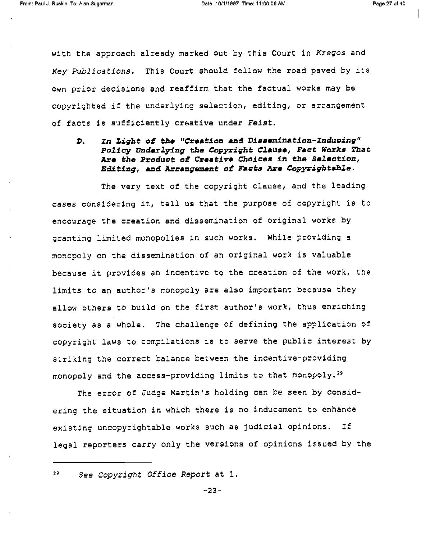with the approach already marked out by this Court in Kregos and Key Publications. This Court should follow the road paved by its own prior decisions and reaffirm that the factual works may be copyrighted if the underlying selection, editing, or arrangement of facts is sufficiently creative under Feist.

D. In Light of the "Creation and Dissemination-Inducing" Policy Underlying the Copyright Clause, Fact Works That Are the Product of Creative Choices in the Selection, Editing, and Arrangement of Facts Are Copyrightable.

The very text of the copyright clause, and the leading cases considering it, tell us that the purpose of copyright is to encourage the creation and dissemination of original works by granting limited monopolies in such works. While providing a monopoly on the dissemination of an original work is valuable because it provides an incentive to the creation of the work, the limits to an author's monopoly are also important because they allow others to build on the first author's work, thus enriching society as a whole. The challenge of defining the application of copyright laws to compilations is to serve the public interest by striking the correct balance between the incentive-providing monopoly and the access-providing limits to that monopoly.29

The error of Judge Martin's holding can be seen by considering the situation in which there is no inducement to enhance existing uncopyrightable works such as judicial opinions. If legal reporters carry only the versions of opinions issued by the

<sup>29</sup> See Copyright Office Report at 1.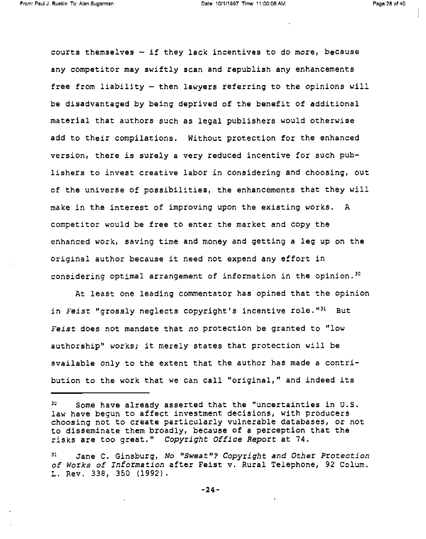courts themselves  $-$  if they lack incentives to do more, because any competitor may swiftly scan and republish any enhancements free from liability - then lawyers referring to the opinions will be disadvantaged by being deprived of the benefit of additional material that authors such as legal publishers would otherwise add to their compilations. Without protection for the enhanced version, there is surely a very reduced incentive for such publishers to invest creative labor in considering and choosing, out of the universe of possibilities, the enhancements that they will make in the interest of improving upon the existing works. A competitor would be free to enter the market and copy the enhanced work, saving time and money and getting a leg up on the original author because it need not expend any effort in considering optimal arrangement of information in the opinion.<sup>30</sup>

At least one leading commentator has opined that the opinion in Feist "grossly neglects copyright's incentive role."<sup>31</sup> But Feist does not mandate that no protection be granted to "low authorship" works; it merely states that protection will be available only to the extent that the author has made a contribution to the work that we can call "original," and indeed its

<sup>30</sup> Some have already asserted that the "uncertainties in U.S. law have begun to affect investment decisions, with producers choosing not to create particularly vulnerable databases, or not to disseminate them broadly, because of a perception that the risks are too great." Copyright Office Report at 74.

Jane C. Ginsburg, No "Sweat"? Copyright and Other Protection of Works of Information after Feist v. Rural Telephone, 92 Colum. L. Rev. 338, 350 (1992).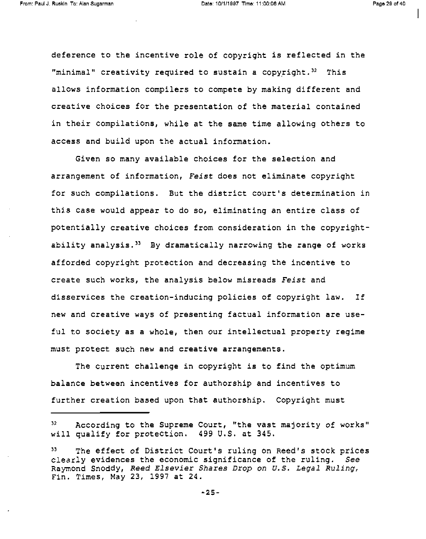deference to the incentive role of copyright is reflected in the "minimal" creativity required to sustain a copyright. $32$  This allows information compilers to compete by making different and creative choices for the presentation of the material contained in their compilations, while at the same time allowing others to access and build upon the actual information.

Given so many available choices for the selection and arrangement of information, Feist does not eliminate copyright for such compilations. But the district court's determination in this case would appear to do so, eliminating an entire class of potentially creative choices from consideration in the copyrightability analysis.33 By dramatically narrowing the range of works afforded copyright protection and decreasing the incentive to create such works, the analysis below misreads Feist and disservices the creation-inducing policies of copyright law. If new and creative ways of presenting factual information are useful to society as a whole, then our intellectual property regime must protect such new and creative arrangements.

The current challenge in copyright is to find the optimum balance between incentives for authorship and incentives to further creation based upon that authorship. Copyright must

<sup>32</sup> According to the Supreme Court, "the vast majority of works" will qualify for protection. 499 U.S. at 345.

<sup>33</sup> The effect of District Court's ruling on Reed's stock prices clearly evidences the economic significance of the ruling. See Raymond Snoddy, Reed Elsevier Shares Drop on U.S. Legal Ruling, Fin. Times, May 23, 1997 at 24.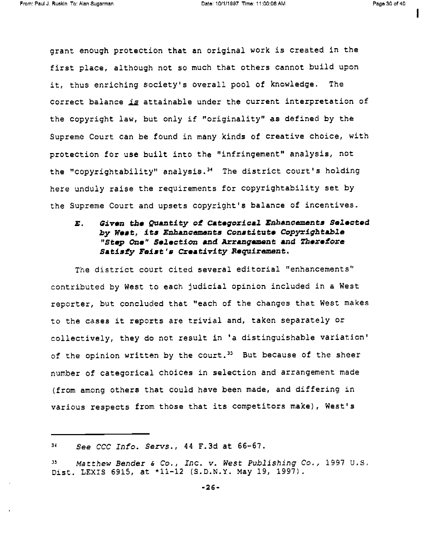grant enough protection that an original work is created in the first place, although not so much that others cannot build upon it, thus enriching society's overall pool of knowledge. The correct balance is attainable under the current interpretation of the copyright law, but only if "originality" as defined by the Supreme Court can be found in many kinds of creative choice, with protection for use built into the "infringement" analysis, not the "copyrightability" analysis.<sup>34</sup> The district court's holding here unduly raise the requirements for copyrightability set by the Supreme Court and upsets copyright's balance of incentives.

### E. Given the Quantity of Categorical Enhancements Selected by West, Its Enhancements Constitute Copyrightable "Step One" Selection and Arrangement and Therefore Satisfy Feist's Creativity Requirement.

The district court cited several editorial "enhancements" contributed by West to each judicial opinion included in a West reporter, but concluded that "each of the changes that West makes to the cases it reports are trivial and, taken separately or collectively, they do not result in 'a distinguishable variation' of the opinion written by the court.<sup>35</sup> But because of the sheer number of categorical choices in selection and arrangement made (from among others that could have been made, and differing in various respects from those that its competitors make), West's

<sup>34</sup> See CCC Info. Servs., 44 F.3d at 66-67.

 $M$ Matthew Bender & Co., Inc. v. West Publishing Co., 1997 U.S.<br>Dist. LEXIS 6915, at \*11-12 (S.D.N.Y. May 19, 1997).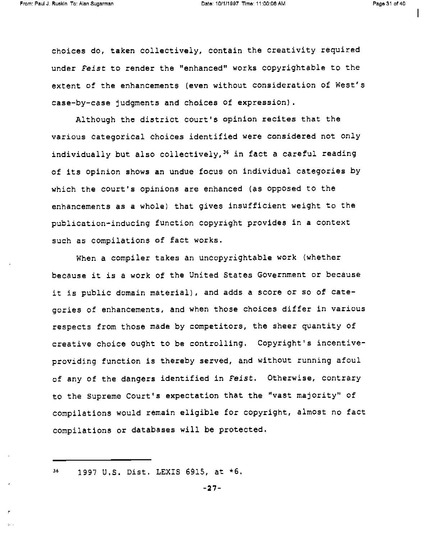choices do, taken collectively, contain the creativity required under Feist to render the "enhanced" works copyrightable to the extent of the enhancements (even without consideration of West's case-by-case judgments and choices of expression).

Although the district court's opinion recites that the various categorical choices identified were considered not only individually but also collectively,<sup>36</sup> in fact a careful reading of its opinion shows an undue focus on individual categories by which the court's opinions are enhanced (as opposed to the enhancements as a whole) that gives insufficient weight to the publication-inducing function copyright provides in a context such as compilations of fact works.

When a compiler takes an uncopyrightable work (whether because it is a work of the United States Government or because it is public domain material), and adds a score or so of categories of enhancements, and when those choices differ in various respects from those made by competitors, the sheer quantity of creative choice ought to be controlling. Copyright's incentiveproviding function is thereby served, and without running afoul of any of the dangers identified in Feist. Otherwise, contrary to the Supreme Court's expectation that the "vast majority" of compilations would remain eligible for copyright, almost no fact compilations or databases will be protected.

<sup>36</sup> 1997 U.S. Dist. LEXIS 6915, at \*6.

 $\mathbf{h}$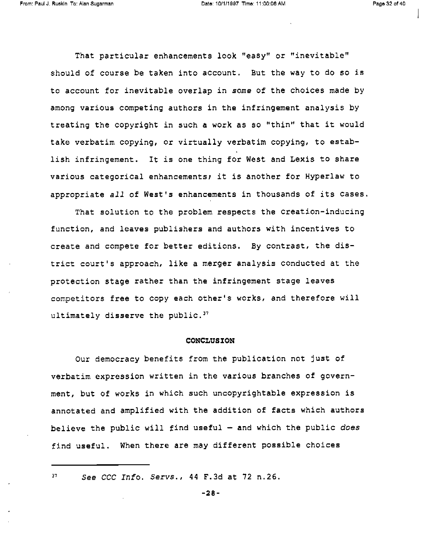That particular enhancements look "easy" or "inevitable" should of course be taken into account. But the way to do so is to account for inevitable overlap in some of the choices made by among various competing authors in the infringement analysis by treating the copyright in such a work as so "thin" that it would take verbatim copying, or virtually verbatim copying, to establish infringement. It is one thing for West and Lexis to share various categorical enhancements; it is another for Hyperlaw to appropriate all of West's enhancements in thousands of its cases.

That solution to the problem respects the creation-inducing function, and leaves publishers and authors with incentives to create and compete for better editions. By contrast, the district court's approach, like a merger analysis conducted at the protection stage rather than the infringement stage leaves competitors free to copy each other's works, and therefore will ultimately disserve the public. $37$ 

#### CONCLUSION

Our democracy benefits from the publication not just of verbatim expression written in the various branches of government, but of works in which such uncopyrightable expression is annotated and amplified with the addition of facts which authors believe the public will find useful  $-$  and which the public does find useful. When there are may different possible choices

 $37$  See CCC Info. Servs., 44 F.3d at 72 n.26.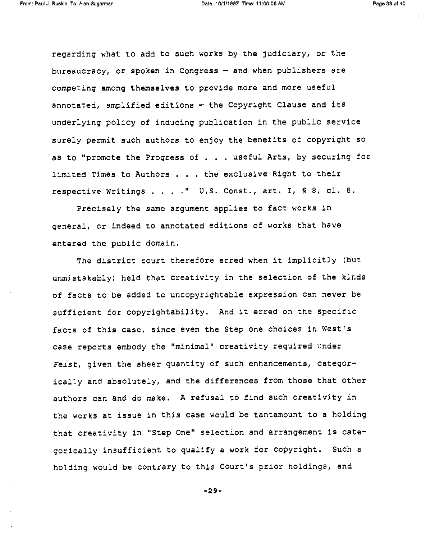regarding what to add to such works by the judiciary, or the bureaucracy, or spoken in Congress - and when publishers are competing among themselves to provide more and more useful annotated, amplified editions - the Copyright Clause and its underlying policy of inducing publication in the public service surely permit such authors to enjoy the benefits of copyright so as to "promote the Progress of . . . useful Arts, by securing for limited Times to Authors . . . the exclusive Right to their respective Writings . . . ." U.S. Const., art. I, S 8, cl. 8.

Precisely the same argument applies to fact works in general, or indeed to annotated editions of works that have entered the public domain.

The district court therefore erred when it implicitly (but unmistakably) held that creativity in the selection of the kinds of facts to be added to uncopyrightable expression can never be sufficient for copyrightability. And it erred on the specific facts of this case, since even the Step one choices in West's case reports embody the "minimal" creativity required under Feist, given the sheer quantity of such enhancements, categorically and absolutely, and the differences from those that other authors can and do make. A refusal to find such creativity in the works at issue in this case would be tantamount to a holding that creativity in "Step One" selection and arrangement is categorically insufficient to qualify a work for copyright. Such a holding would be contrary to this Court's prior holdings, and

-29-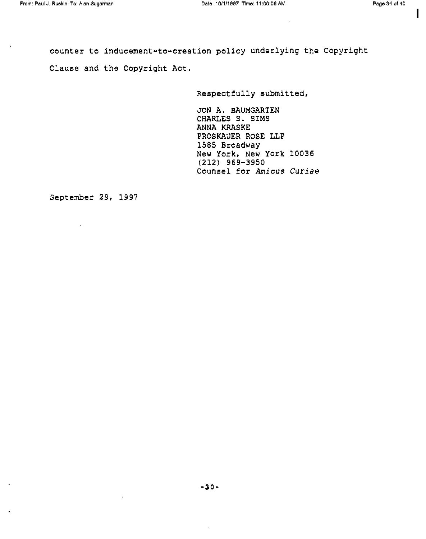I

counter to inducement-to-creation policy underlying the Copyright Clause and the Copyright Act.

Respectfully submitted,

JON A. BAUMGARTEN CHARLES S. SIMS ANNA KRASKE PROSKAUER ROSE LLP 1585 Broadway New York, New York 10036<br>(212) 969-3950 Counsel for Amicus Curiae

September 29, 1997

 $\epsilon$ 

 $\sim$   $\epsilon$ 

 $\mathbf{r}$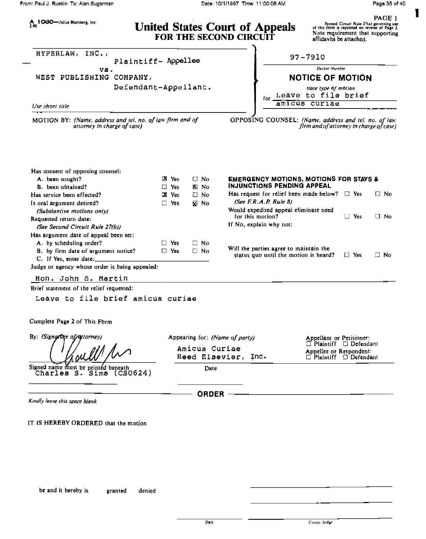|                                                                                             |                      |                            |                             | Page 35 of 40                                                                   |                                                                                                                                                           |            |              |
|---------------------------------------------------------------------------------------------|----------------------|----------------------------|-----------------------------|---------------------------------------------------------------------------------|-----------------------------------------------------------------------------------------------------------------------------------------------------------|------------|--------------|
| A 1080-Julius Blumberg, Inc.<br>2-90                                                        |                      |                            |                             | <b>United States Court of Appeals</b><br>FOR THE SECOND CIRCUIT                 | Second Circuit Rule 27(a) governing use<br>of this form is reprinted on reverse of Page 2.<br>Note requirement that supporting<br>affidavits be attached. |            | PAGE 1       |
| INC.,<br><b>HYPERLAW,</b>                                                                   | Plaintiff- Appellee  |                            |                             |                                                                                 | $97 - 7910$                                                                                                                                               |            |              |
| VS.                                                                                         |                      |                            |                             |                                                                                 | <b>Docket Number</b>                                                                                                                                      |            |              |
| WEST PUBLISHING COMPANY,                                                                    |                      |                            |                             |                                                                                 | <b>NOTICE OF MOTION</b>                                                                                                                                   |            |              |
|                                                                                             | Defendant-Appellant. |                            |                             | for .                                                                           | state type of motion<br>Leave to file brief                                                                                                               |            |              |
| Use short title                                                                             |                      |                            |                             |                                                                                 | amicus curiae                                                                                                                                             |            |              |
|                                                                                             |                      |                            |                             |                                                                                 |                                                                                                                                                           |            |              |
|                                                                                             |                      |                            |                             |                                                                                 |                                                                                                                                                           |            |              |
|                                                                                             |                      |                            |                             |                                                                                 |                                                                                                                                                           |            |              |
| A. been sought?                                                                             |                      | $\mathbf{X}$ Yes           | $\Box$ No                   | <b>EMERGENCY MOTIONS, MOTIONS FOR STAYS &amp;</b><br>INJUNCTIONS PENDING APPEAL |                                                                                                                                                           |            |              |
| B. been obtained?                                                                           |                      | $\Box$ Yes<br><b>X</b> Yes | м<br><b>No</b><br>$\Box$ No | Has request for relief been made below? $\Box$ Yes                              |                                                                                                                                                           |            | $\square$ No |
| Has consent of opposing counsel:<br>Has service been effected?<br>Is oral argument desired? |                      | $\Box$ Yes                 | ⊠ No                        | (See F.R.A.P. Rule 8)                                                           |                                                                                                                                                           |            |              |
| (Substantive motions only)                                                                  |                      |                            |                             | Would expedited appeal eliminate need                                           |                                                                                                                                                           |            |              |
|                                                                                             |                      |                            |                             | for this motion?                                                                |                                                                                                                                                           | $\Box$ Yes | ∐ No         |
| (See Second Circult Rule 27(b))                                                             |                      |                            |                             | If No, explain why not:                                                         |                                                                                                                                                           |            |              |
| Requested return date:<br>Has argument date of appeal been set:                             |                      |                            |                             |                                                                                 |                                                                                                                                                           |            |              |
| A. by scheduling order?                                                                     |                      | $\Box$ Yes                 | □ No                        |                                                                                 |                                                                                                                                                           |            |              |
| B. by firm date of argument notice?<br>C. If Yes, enter date:                               |                      | $\Box$ Yes                 | $\Box$ No                   | Will the parties agree to maintain the<br>status quo until the motion is heard? |                                                                                                                                                           | $\Box$ Yes | □ No         |

Hon. John S. Martin

Brief statement of the relief requested:

Leave to file brief amicus curiae

Complete Page 2 of This Form

By: (Signartice of autorney)

Signed name must be printed beneath<br>Charles S. Sims (CSO624)

Kindly leave this space blank

IT IS HEREBY ORDERED that the motion

Appearing for: (Name of party)

pearing for: (Name of party) (Appellant or Petitioner:<br>
Amicus Curiae (Plaintiff Defendant) (Plaintiff Defendant) Reed Elsevier, Inc. Defendant: Plaintiff Defendant

Date

ORDER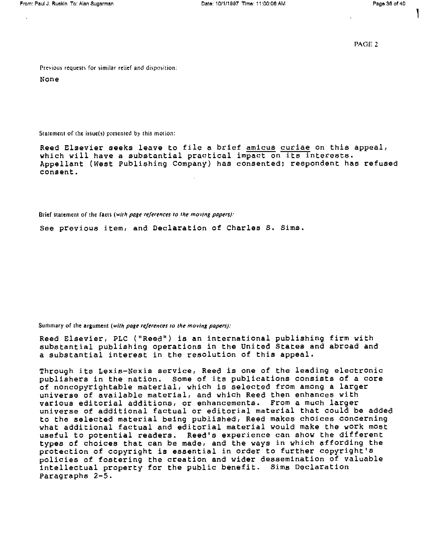PAGE 2

Previous requests for similar relief and disposition;

None

Statement of the issue(s) presented by this motion:

Reed Elsevier seeks leave to file a brief amicus curiae on this appeal, which will have a substantial practical impact on its interests. Appellant (West Publishing Company) has consented; respondent has refused consent.

Brief statement of the facts (with page references to the moving papers):

See previous item, and Declaration of Charles S. Sims.

Summary of the argument (with page references to the moving papers):

Reed Elsevier, PLC ("Reed") is an international publishing firm with substantial publishing operations in the United States and abroad and a substantial interest in the resolution of this appeal.

Through its Lexis-Nexis service, Reed is one of the leading electronic publishers in the nation. Some of its publications consists of a core<br>of noncopyrightable material, which is selected from among a larger universe of available material, and which Reed then enhances with various editorial additions, or enhancements. From a much larger universe of additional factual or editorial material that could be added to the selected material being published, Reed makes choices concerning what additional factual and editorial material would make the work most useful to potential readers. Reed's experience can show the different types of choices that can be made, and the ways in which affording the protection of copyright is essential in order to further copyright's policies of fostering the creation and wider dessemination of valuable intellectual property for the public benefit. Sims Declaration Paragraphs 2-5.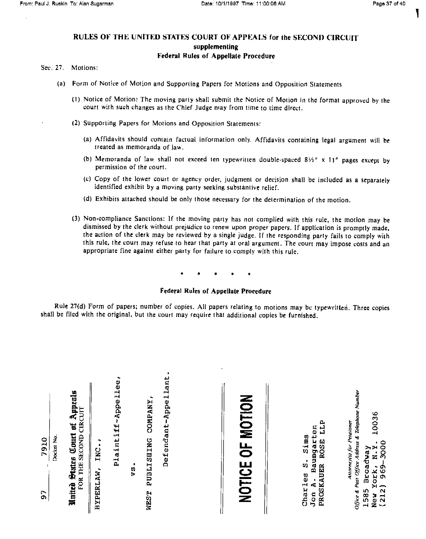#### RULES OF THE UNITED STATES COURT OF APPEALS for the SECOND CIRCUIT supplementing Federal Rules of Appellate Procedure

#### Sec. 27. Motions:

- (a) Form of Notice of Motion and Supporting Papers for Motions and Opposition Statements
	- (1) Notice of Motion: The moving party shall submit the Notice of Motion in the format approved by the court with such changes as the Chief Judge may from time to time direct.
	- (2) Supporting Papers for Motions and Opposition Statements:
		- (a) Affidavits should contain factual information only. Affidavits containing legal argument will be treated as memoranda of law.
		- (b) Memoranda of law shall not exceed ten typewritten double-spaced  $8\frac{1}{4}$  x 11" pages except by permission of the court.
		- (c) Copy of the lower court or agency order, judgment or decision shall be included as a separately identified exhibit by a moving party seeking substantive relief.
		- (d) Exhibits attached should be only those necessary for the determination of the motion.
	- (3) Non-compliance Sanctions: If the moving party has not complied with this rule, the motion may be dismissed by the clerk without prejudice to renew upon proper papers. If application is promptly made, the action of the clerk may be reviewed by a single judge. If the responding party fails to comply with this rule, the court may refuse to hear that party at oral argument. The court may impose costs and an appropriate fine against either party for failure to comply with this rule.

#### Federal Rules of Appellate Procedure

Rule 27(d) Form of papers; number of copies. All papers relating to motions may be typewritten. Three copies shall be filed with the original, but the court may require that additional copies be furnished.

| Docket No.<br>7910<br>i<br>O | Court of Appeals<br>FOR THE SECOND CIRCUIT<br>Nnited States | ٠<br>INC.<br><b>HYPERLAW</b> , | Plaintiff-Appellee, | s)<br>S | ۰<br><b>COMPANY</b><br><b>DUBLISHING</b><br><b>NEST</b> | ٠<br>Defendant-Appellant |  | NOTICE OF MOTION | LLP<br>Baumgarten<br>Sims<br><b>ROSE</b><br>$\dot{\mathbf{u}}$<br>PROSKAUER<br>Charles<br>д,<br>Jon | Office & Post Office Address & Telephone Number<br>10036<br>Attorney(s) for Petrioner<br>York, N.Y.<br>2) 969-3000<br>Broadway<br>(212)<br>585<br>New<br>$\blacksquare$ |  |
|------------------------------|-------------------------------------------------------------|--------------------------------|---------------------|---------|---------------------------------------------------------|--------------------------|--|------------------|-----------------------------------------------------------------------------------------------------|-------------------------------------------------------------------------------------------------------------------------------------------------------------------------|--|
|------------------------------|-------------------------------------------------------------|--------------------------------|---------------------|---------|---------------------------------------------------------|--------------------------|--|------------------|-----------------------------------------------------------------------------------------------------|-------------------------------------------------------------------------------------------------------------------------------------------------------------------------|--|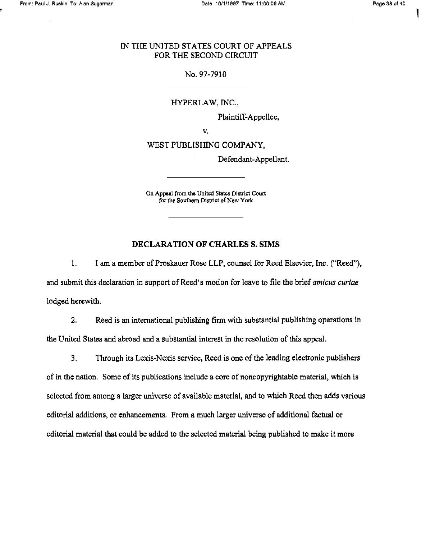I

#### IN THE UNITED STATES COURT OF APPEALS FOR THE SECOND CIRCUIT

#### No. 97-7910

HYPERLAW, INC.,

Plaintiff-Appellee,

V.

WEST PUBLISHING COMPANY,

Defendant-Appellant.

On Appeal from the United States District Court for the Southern District of New York

#### DECLARATION OF CHARLES S. SIMS

1. I am a member of Proskauer Rose LLP, counsel for Reed Elsevier, Inc. ("Reed"), and submit this declaration in support of Reed's motion for leave to file the brief *amicus curiae* lodged herewith.

2. Reed is an international publishing firm with substantial publishing operations in the United States and abroad and a substantial interest in the resolution of this appeal.

3. Through its Lexis-Nexis service, Reed is one of the leading electronic publishers of in the nation. Some of its publications include a core of noncopyrightable material, which is selected from among a larger universe of available material, and to which Reed then adds various editorial additions, or enhancements. From a much larger universe of additional factual or editorial material that could be added to the selected material being published to make it more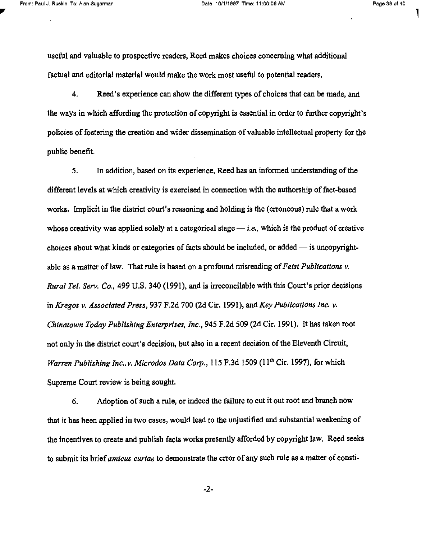useful and valuable to prospective readers, Reed makes choices concerning what additional factual and editorial material would make the work most useful to potential readers,

4. Reed's experience can show the different types of choices that can be made, and the ways in which affording the protection of copyright is essential in order to further copyright's policies of fostering the creation and wider dissemination of valuable intellectual property for the public benefit.

5. In addition, based on its experience, Reed has an informed understanding of the different levels at which creativity is exercised in connection with the authorship of fact-based works, Implicit in the district court's reasoning and holding is the (erroneous) rule that a work whose creativity was applied solely at a categorical stage  $-i.e.,$  which is the product of creative choices about what kinds or categories of facts should be included, or added  $-$  is uncopyrightable as a matter of law. That rule is based on a profound misreading of Feist Publications  $v$ . Rural Tel. Serv. Co., 499 U.S. 340 (1991), and is irreconcilable with this Court's prior decisions in Kregos v. Associated Press, 937 F.2d 700 (2d Cir. 1991), and Key Publications Inc. v, Chinatown Today Publishing Enterprises, Inc., 945 F.2d 509 (2d Cir. 1991). It has taken root not only in the district court's decision, but also in a recent decision of the Eleventh Circuit, Warren Publishing Inc..v. Microdos Data Corp., 115 F.3d 1509 (11<sup>th</sup> Cir. 1997), for which Supreme Court review is being sought.

6. Adoption of such a rule, or indeed the failure to cut it out root and branch now that it has been applied in two cases, would lead to the unjustified and substantial weakening of the incentives to create and publish facts works presently afforded by copyright law. Reed seeks to submit its brief *amicus curiae* to demonstrate the error of any such rule as a matter of consti-

-2-